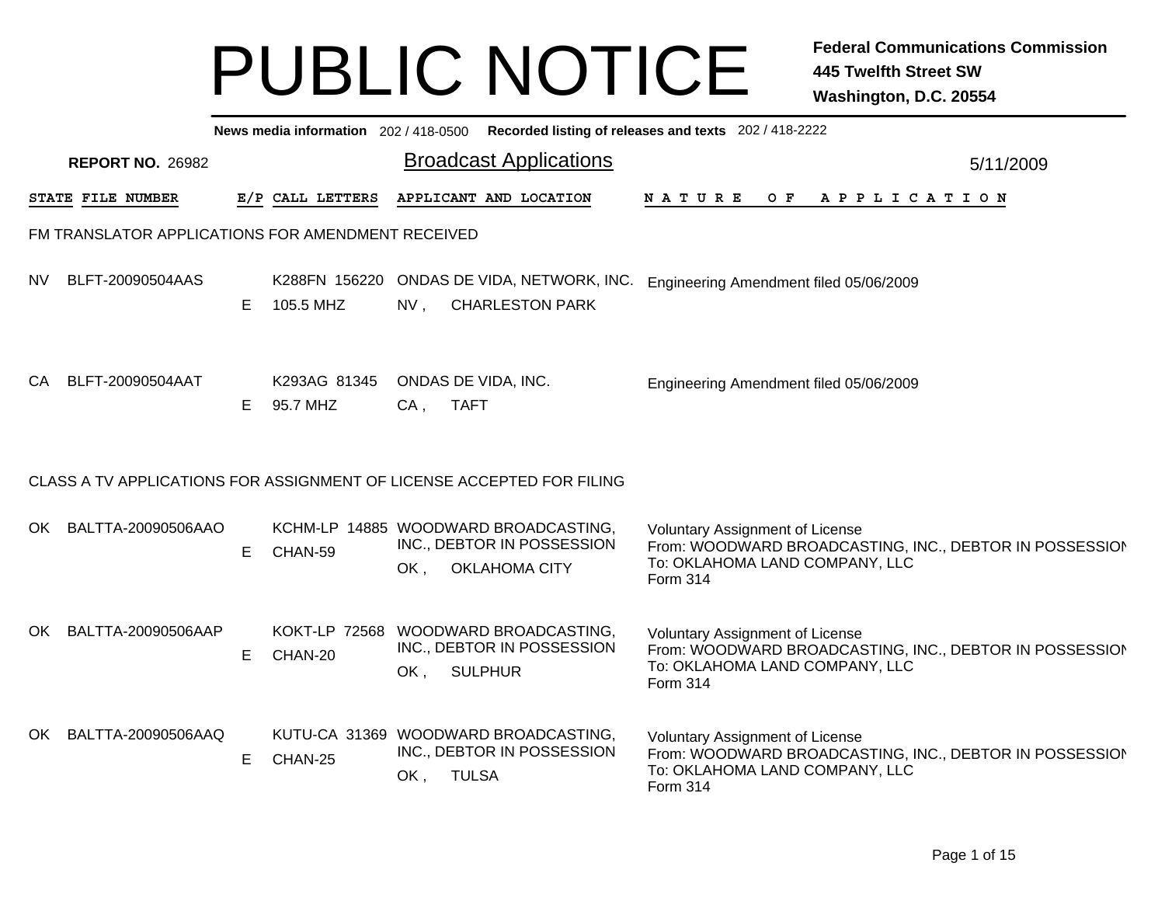|     | News media information 202/418-0500 Recorded listing of releases and texts 202/418-2222 |    |                            |                                                                                             |                                                                                                                                                 |  |  |  |  |  |  |  |
|-----|-----------------------------------------------------------------------------------------|----|----------------------------|---------------------------------------------------------------------------------------------|-------------------------------------------------------------------------------------------------------------------------------------------------|--|--|--|--|--|--|--|
|     | <b>REPORT NO. 26982</b>                                                                 |    |                            | <b>Broadcast Applications</b>                                                               | 5/11/2009                                                                                                                                       |  |  |  |  |  |  |  |
|     | STATE FILE NUMBER                                                                       |    | E/P CALL LETTERS           | APPLICANT AND LOCATION                                                                      | $O$ $F$<br>APPLICATION<br>N A T U R E                                                                                                           |  |  |  |  |  |  |  |
|     | FM TRANSLATOR APPLICATIONS FOR AMENDMENT RECEIVED                                       |    |                            |                                                                                             |                                                                                                                                                 |  |  |  |  |  |  |  |
| NV. | BLFT-20090504AAS                                                                        | E. | K288FN 156220<br>105.5 MHZ | ONDAS DE VIDA, NETWORK, INC.<br>NV,<br><b>CHARLESTON PARK</b>                               | Engineering Amendment filed 05/06/2009                                                                                                          |  |  |  |  |  |  |  |
| CA. | BLFT-20090504AAT                                                                        | E. | K293AG 81345<br>95.7 MHZ   | ONDAS DE VIDA, INC.<br><b>TAFT</b><br>$CA$ ,                                                | Engineering Amendment filed 05/06/2009                                                                                                          |  |  |  |  |  |  |  |
|     |                                                                                         |    |                            | CLASS A TV APPLICATIONS FOR ASSIGNMENT OF LICENSE ACCEPTED FOR FILING                       |                                                                                                                                                 |  |  |  |  |  |  |  |
|     | OK BALTTA-20090506AAO                                                                   | E. | CHAN-59                    | KCHM-LP 14885 WOODWARD BROADCASTING,<br>INC., DEBTOR IN POSSESSION<br>OK, OKLAHOMA CITY     | <b>Voluntary Assignment of License</b><br>From: WOODWARD BROADCASTING, INC., DEBTOR IN POSSESSION<br>To: OKLAHOMA LAND COMPANY, LLC<br>Form 314 |  |  |  |  |  |  |  |
| OK  | BALTTA-20090506AAP                                                                      | E. | CHAN-20                    | KOKT-LP 72568 WOODWARD BROADCASTING,<br>INC., DEBTOR IN POSSESSION<br><b>SULPHUR</b><br>OK, | Voluntary Assignment of License<br>From: WOODWARD BROADCASTING, INC., DEBTOR IN POSSESSION<br>To: OKLAHOMA LAND COMPANY, LLC<br>Form 314        |  |  |  |  |  |  |  |
|     | OK BALTTA-20090506AAQ                                                                   | E. | CHAN-25                    | KUTU-CA 31369 WOODWARD BROADCASTING,<br>INC., DEBTOR IN POSSESSION<br><b>TULSA</b><br>OK,   | <b>Voluntary Assignment of License</b><br>From: WOODWARD BROADCASTING, INC., DEBTOR IN POSSESSION<br>To: OKLAHOMA LAND COMPANY, LLC<br>Form 314 |  |  |  |  |  |  |  |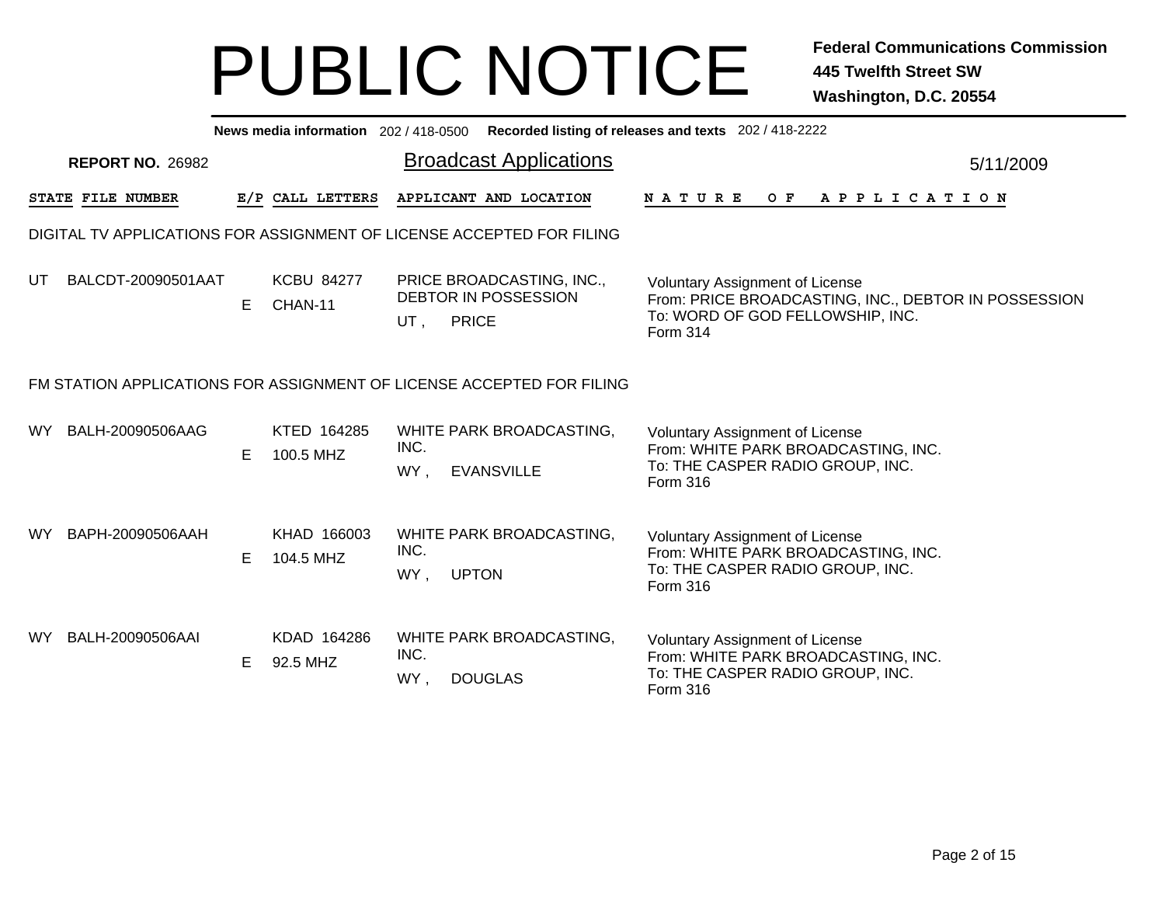|      | News media information 202/418-0500 Recorded listing of releases and texts 202/418-2222 |    |                                |                     |                                                          |                                                                                                                                                       |           |  |  |  |  |  |
|------|-----------------------------------------------------------------------------------------|----|--------------------------------|---------------------|----------------------------------------------------------|-------------------------------------------------------------------------------------------------------------------------------------------------------|-----------|--|--|--|--|--|
|      | <b>REPORT NO. 26982</b>                                                                 |    |                                |                     | <b>Broadcast Applications</b>                            |                                                                                                                                                       | 5/11/2009 |  |  |  |  |  |
|      | STATE FILE NUMBER                                                                       |    | E/P CALL LETTERS               |                     | APPLICANT AND LOCATION                                   | N A T U R E<br>OF APPLICATION                                                                                                                         |           |  |  |  |  |  |
|      | DIGITAL TV APPLICATIONS FOR ASSIGNMENT OF LICENSE ACCEPTED FOR FILING                   |    |                                |                     |                                                          |                                                                                                                                                       |           |  |  |  |  |  |
| UT   | BALCDT-20090501AAT                                                                      |    | <b>KCBU 84277</b><br>E CHAN-11 | UT,<br><b>PRICE</b> | PRICE BROADCASTING, INC.,<br><b>DEBTOR IN POSSESSION</b> | <b>Voluntary Assignment of License</b><br>From: PRICE BROADCASTING, INC., DEBTOR IN POSSESSION<br>To: WORD OF GOD FELLOWSHIP, INC.<br><b>Form 314</b> |           |  |  |  |  |  |
|      | FM STATION APPLICATIONS FOR ASSIGNMENT OF LICENSE ACCEPTED FOR FILING                   |    |                                |                     |                                                          |                                                                                                                                                       |           |  |  |  |  |  |
| WY l | BALH-20090506AAG                                                                        | E. | KTED 164285<br>100.5 MHZ       | INC.<br>WY,         | WHITE PARK BROADCASTING,<br><b>EVANSVILLE</b>            | <b>Voluntary Assignment of License</b><br>From: WHITE PARK BROADCASTING, INC.<br>To: THE CASPER RADIO GROUP, INC.<br>Form 316                         |           |  |  |  |  |  |
| WY l | BAPH-20090506AAH                                                                        | E. | KHAD 166003<br>104.5 MHZ       | INC.<br>WY,         | WHITE PARK BROADCASTING,<br><b>UPTON</b>                 | <b>Voluntary Assignment of License</b><br>From: WHITE PARK BROADCASTING, INC.<br>To: THE CASPER RADIO GROUP, INC.<br>Form 316                         |           |  |  |  |  |  |
| WY l | BALH-20090506AAI                                                                        | E. | KDAD 164286<br>92.5 MHZ        | INC.<br>WY,         | WHITE PARK BROADCASTING,<br><b>DOUGLAS</b>               | Voluntary Assignment of License<br>From: WHITE PARK BROADCASTING, INC.<br>To: THE CASPER RADIO GROUP, INC.<br>Form 316                                |           |  |  |  |  |  |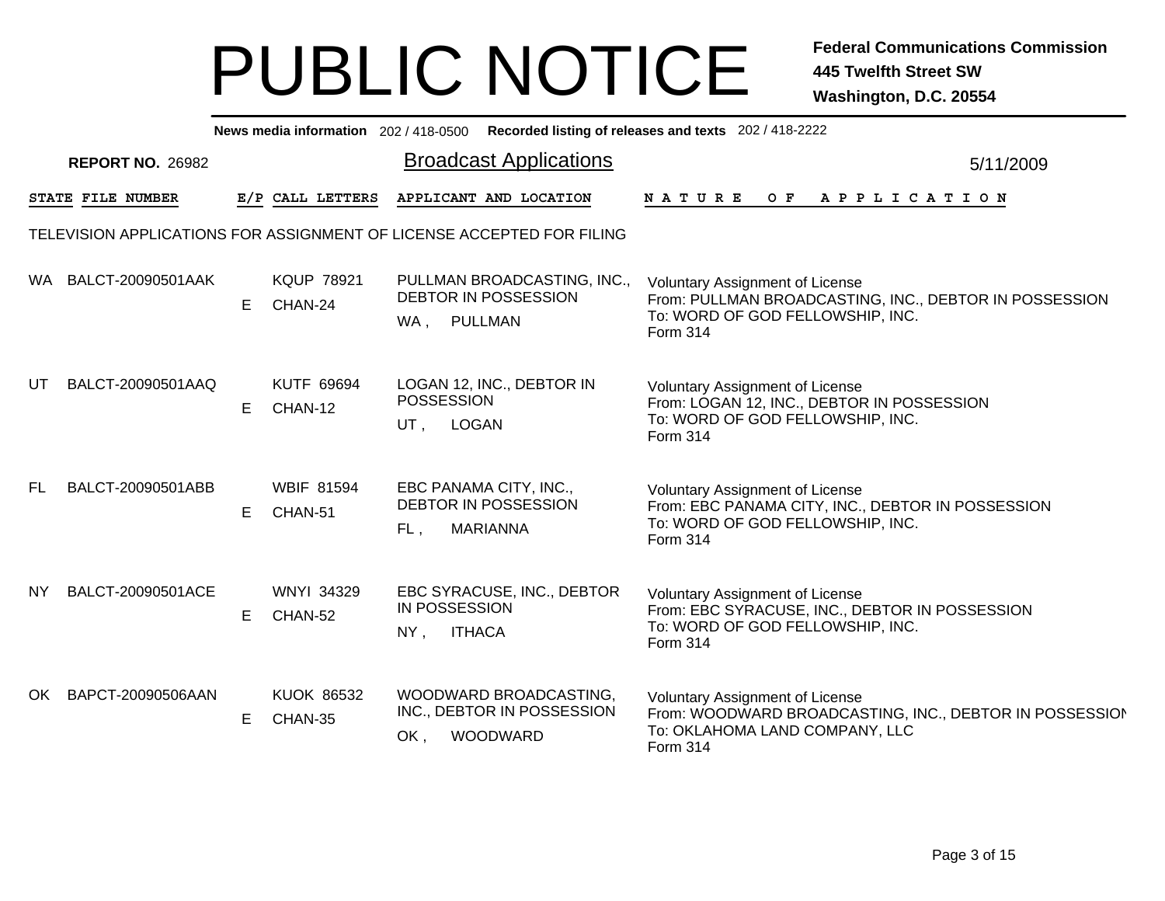|                                                                       | News media information 202/418-0500 Recorded listing of releases and texts 202/418-2222 |    |                              |        |                                                                           |                                                                                                                                                  |  |  |  |  |  |  |
|-----------------------------------------------------------------------|-----------------------------------------------------------------------------------------|----|------------------------------|--------|---------------------------------------------------------------------------|--------------------------------------------------------------------------------------------------------------------------------------------------|--|--|--|--|--|--|
| <b>Broadcast Applications</b><br><b>REPORT NO. 26982</b><br>5/11/2009 |                                                                                         |    |                              |        |                                                                           |                                                                                                                                                  |  |  |  |  |  |  |
|                                                                       | STATE FILE NUMBER                                                                       |    | E/P CALL LETTERS             |        | APPLICANT AND LOCATION                                                    | OF APPLICATION<br><b>NATURE</b>                                                                                                                  |  |  |  |  |  |  |
|                                                                       |                                                                                         |    |                              |        | TELEVISION APPLICATIONS FOR ASSIGNMENT OF LICENSE ACCEPTED FOR FILING     |                                                                                                                                                  |  |  |  |  |  |  |
| WA.                                                                   | BALCT-20090501AAK                                                                       | E. | <b>KQUP 78921</b><br>CHAN-24 |        | PULLMAN BROADCASTING, INC.,<br><b>DEBTOR IN POSSESSION</b><br>WA, PULLMAN | <b>Voluntary Assignment of License</b><br>From: PULLMAN BROADCASTING, INC., DEBTOR IN POSSESSION<br>To: WORD OF GOD FELLOWSHIP, INC.<br>Form 314 |  |  |  |  |  |  |
| UT                                                                    | BALCT-20090501AAQ                                                                       | E. | <b>KUTF 69694</b><br>CHAN-12 | UT,    | LOGAN 12, INC., DEBTOR IN<br><b>POSSESSION</b><br><b>LOGAN</b>            | <b>Voluntary Assignment of License</b><br>From: LOGAN 12, INC., DEBTOR IN POSSESSION<br>To: WORD OF GOD FELLOWSHIP, INC.<br>Form 314             |  |  |  |  |  |  |
| FL.                                                                   | BALCT-20090501ABB                                                                       | E. | <b>WBIF 81594</b><br>CHAN-51 | FL,    | EBC PANAMA CITY, INC.,<br><b>DEBTOR IN POSSESSION</b><br><b>MARIANNA</b>  | <b>Voluntary Assignment of License</b><br>From: EBC PANAMA CITY, INC., DEBTOR IN POSSESSION<br>To: WORD OF GOD FELLOWSHIP, INC.<br>Form 314      |  |  |  |  |  |  |
| NY.                                                                   | BALCT-20090501ACE                                                                       | E. | <b>WNYI 34329</b><br>CHAN-52 | $NY$ , | EBC SYRACUSE, INC., DEBTOR<br><b>IN POSSESSION</b><br><b>ITHACA</b>       | <b>Voluntary Assignment of License</b><br>From: EBC SYRACUSE, INC., DEBTOR IN POSSESSION<br>To: WORD OF GOD FELLOWSHIP, INC.<br>Form 314         |  |  |  |  |  |  |
| OK.                                                                   | BAPCT-20090506AAN                                                                       | E  | <b>KUOK 86532</b><br>CHAN-35 | OK,    | WOODWARD BROADCASTING,<br>INC., DEBTOR IN POSSESSION<br>WOODWARD          | Voluntary Assignment of License<br>From: WOODWARD BROADCASTING, INC., DEBTOR IN POSSESSION<br>To: OKLAHOMA LAND COMPANY, LLC<br>Form 314         |  |  |  |  |  |  |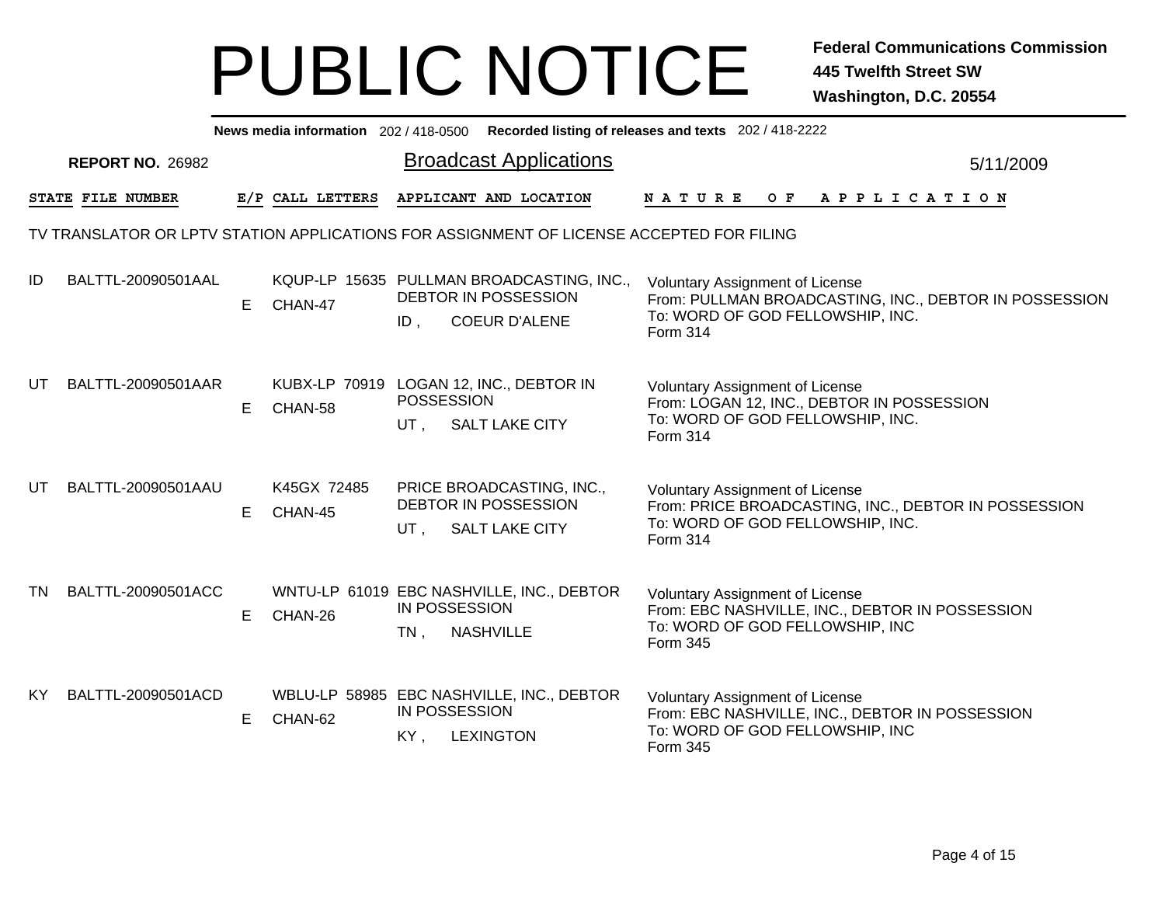|     | News media information 202 / 418-0500 Recorded listing of releases and texts 202 / 418-2222 |    |                                                    |                                |                                                                                           |                                                                                                                                                |           |  |  |  |  |  |  |
|-----|---------------------------------------------------------------------------------------------|----|----------------------------------------------------|--------------------------------|-------------------------------------------------------------------------------------------|------------------------------------------------------------------------------------------------------------------------------------------------|-----------|--|--|--|--|--|--|
|     | <b>REPORT NO. 26982</b>                                                                     |    |                                                    |                                | <b>Broadcast Applications</b>                                                             |                                                                                                                                                | 5/11/2009 |  |  |  |  |  |  |
|     | STATE FILE NUMBER                                                                           |    | E/P CALL LETTERS                                   |                                | APPLICANT AND LOCATION                                                                    | NATURE OF APPLICATION                                                                                                                          |           |  |  |  |  |  |  |
|     | TV TRANSLATOR OR LPTV STATION APPLICATIONS FOR ASSIGNMENT OF LICENSE ACCEPTED FOR FILING    |    |                                                    |                                |                                                                                           |                                                                                                                                                |           |  |  |  |  |  |  |
| ID  | BALTTL-20090501AAL                                                                          | E. | CHAN-47                                            | ID,                            | KQUP-LP 15635 PULLMAN BROADCASTING, INC.,<br>DEBTOR IN POSSESSION<br><b>COEUR D'ALENE</b> | Voluntary Assignment of License<br>From: PULLMAN BROADCASTING, INC., DEBTOR IN POSSESSION<br>To: WORD OF GOD FELLOWSHIP, INC.<br>Form 314      |           |  |  |  |  |  |  |
| UT  | BALTTL-20090501AAR                                                                          | E. | KUBX-LP 70919 LOGAN 12, INC., DEBTOR IN<br>CHAN-58 | <b>POSSESSION</b><br>UT .      | SALT LAKE CITY                                                                            | <b>Voluntary Assignment of License</b><br>From: LOGAN 12, INC., DEBTOR IN POSSESSION<br>To: WORD OF GOD FELLOWSHIP, INC.<br>Form 314           |           |  |  |  |  |  |  |
| UT. | BALTTL-20090501AAU                                                                          | E. | K45GX 72485<br>CHAN-45                             | UT .                           | PRICE BROADCASTING, INC.,<br>DEBTOR IN POSSESSION<br><b>SALT LAKE CITY</b>                | <b>Voluntary Assignment of License</b><br>From: PRICE BROADCASTING, INC., DEBTOR IN POSSESSION<br>To: WORD OF GOD FELLOWSHIP, INC.<br>Form 314 |           |  |  |  |  |  |  |
| TN  | BALTTL-20090501ACC                                                                          | E. | CHAN-26                                            | <b>IN POSSESSION</b><br>$TN$ , | WNTU-LP 61019 EBC NASHVILLE, INC., DEBTOR<br><b>NASHVILLE</b>                             | <b>Voluntary Assignment of License</b><br>From: EBC NASHVILLE, INC., DEBTOR IN POSSESSION<br>To: WORD OF GOD FELLOWSHIP, INC<br>Form 345       |           |  |  |  |  |  |  |
| KY. | BALTTL-20090501ACD                                                                          | E. | CHAN-62                                            | IN POSSESSION<br>KY,           | WBLU-LP 58985 EBC NASHVILLE, INC., DEBTOR<br><b>LEXINGTON</b>                             | <b>Voluntary Assignment of License</b><br>From: EBC NASHVILLE, INC., DEBTOR IN POSSESSION<br>To: WORD OF GOD FELLOWSHIP, INC<br>Form 345       |           |  |  |  |  |  |  |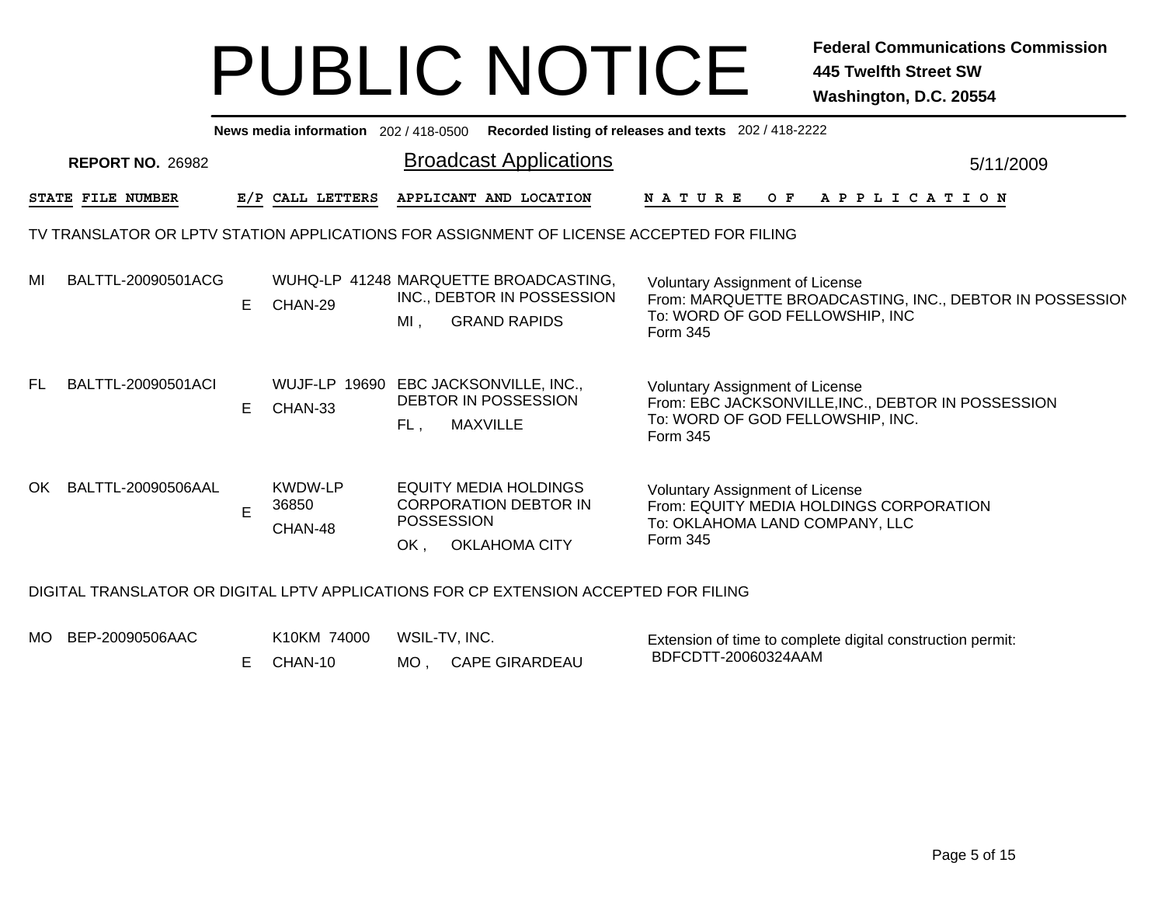|     | News media information 202/418-0500 Recorded listing of releases and texts 202/418-2222 |    |                                    |                                                                                                                  |                                                                                                                                              |  |  |  |  |  |  |  |  |
|-----|-----------------------------------------------------------------------------------------|----|------------------------------------|------------------------------------------------------------------------------------------------------------------|----------------------------------------------------------------------------------------------------------------------------------------------|--|--|--|--|--|--|--|--|
|     | <b>REPORT NO. 26982</b>                                                                 |    |                                    | <b>Broadcast Applications</b>                                                                                    | 5/11/2009                                                                                                                                    |  |  |  |  |  |  |  |  |
|     | STATE FILE NUMBER                                                                       |    | E/P CALL LETTERS                   | APPLICANT AND LOCATION                                                                                           | O F<br>A P P L I C A T I O N<br><b>NATURE</b>                                                                                                |  |  |  |  |  |  |  |  |
|     |                                                                                         |    |                                    | TV TRANSLATOR OR LPTV STATION APPLICATIONS FOR ASSIGNMENT OF LICENSE ACCEPTED FOR FILING                         |                                                                                                                                              |  |  |  |  |  |  |  |  |
| MI  | BALTTL-20090501ACG                                                                      | E. | CHAN-29                            | WUHQ-LP 41248 MARQUETTE BROADCASTING.<br>INC., DEBTOR IN POSSESSION<br><b>GRAND RAPIDS</b><br>$MI$ ,             | Voluntary Assignment of License<br>From: MARQUETTE BROADCASTING, INC., DEBTOR IN POSSESSION<br>To: WORD OF GOD FELLOWSHIP, INC<br>Form 345   |  |  |  |  |  |  |  |  |
| FL. | BALTTL-20090501ACI                                                                      | E. | CHAN-33                            | WUJF-LP 19690 EBC JACKSONVILLE, INC.,<br><b>DEBTOR IN POSSESSION</b><br><b>MAXVILLE</b><br>FL.                   | <b>Voluntary Assignment of License</b><br>From: EBC JACKSONVILLE, INC., DEBTOR IN POSSESSION<br>To: WORD OF GOD FELLOWSHIP, INC.<br>Form 345 |  |  |  |  |  |  |  |  |
|     | OK BALTTL-20090506AAL                                                                   | E  | <b>KWDW-LP</b><br>36850<br>CHAN-48 | <b>EQUITY MEDIA HOLDINGS</b><br><b>CORPORATION DEBTOR IN</b><br><b>POSSESSION</b><br><b>OKLAHOMA CITY</b><br>OK. | Voluntary Assignment of License<br>From: EQUITY MEDIA HOLDINGS CORPORATION<br>To: OKLAHOMA LAND COMPANY, LLC<br>Form 345                     |  |  |  |  |  |  |  |  |
|     |                                                                                         |    |                                    | DIGITAL TRANSLATOR OR DIGITAL LPTV APPLICATIONS FOR CP EXTENSION ACCEPTED FOR FILING                             |                                                                                                                                              |  |  |  |  |  |  |  |  |
|     | MO BEP-20090506AAC                                                                      |    | K10KM 74000                        | WSIL-TV, INC.                                                                                                    | Extension of time to complete digital construction permit:                                                                                   |  |  |  |  |  |  |  |  |

MO , CAPE GIRARDEAU E CHAN-10

BDFCDTT-20060324AAM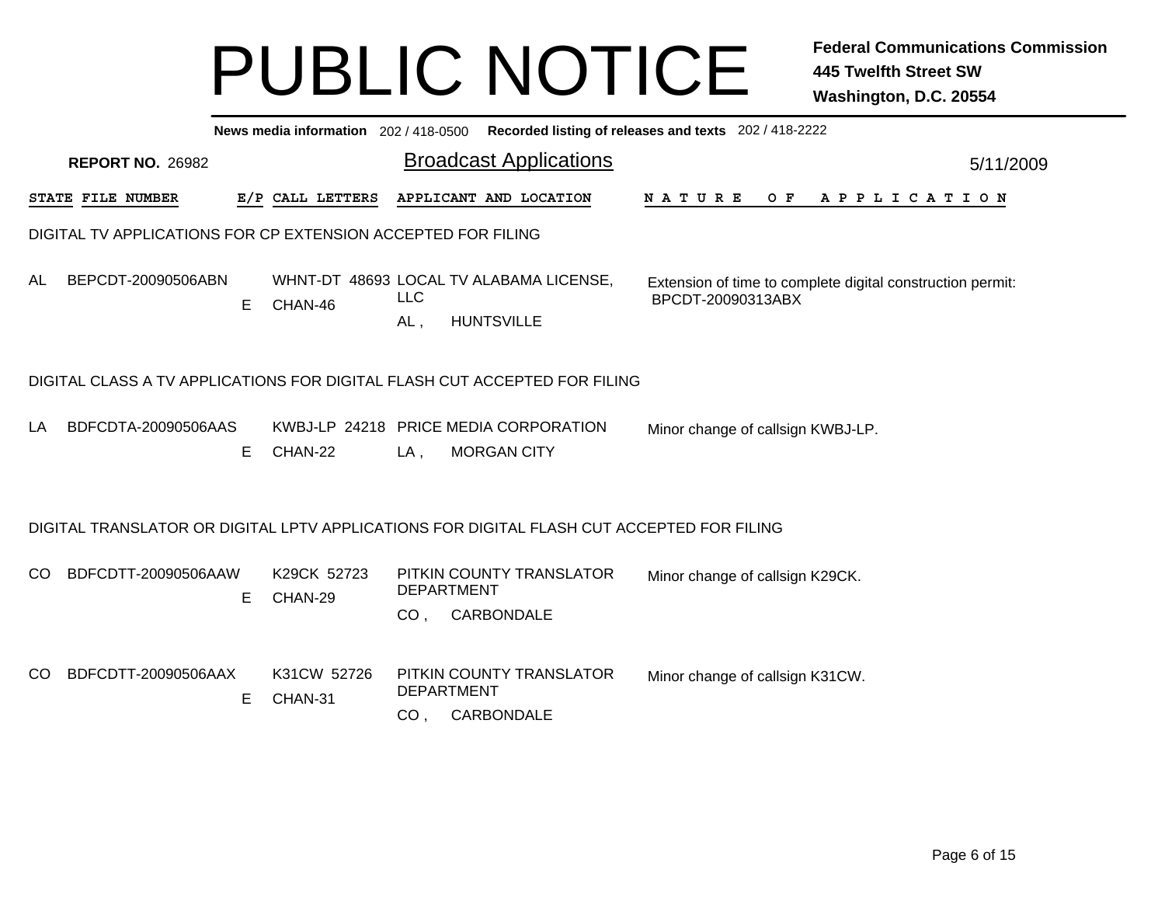| News media information 202/418-0500 Recorded listing of releases and texts 202/418-2222 |                          |                                                                                         |                   |  |                                                                                                                                                                                                                                                                                                                                                                                      |                                                                           |  |  |  |  |             |                                                                                                                |  |                                                                    |                                   |  |  |                                                                                           |
|-----------------------------------------------------------------------------------------|--------------------------|-----------------------------------------------------------------------------------------|-------------------|--|--------------------------------------------------------------------------------------------------------------------------------------------------------------------------------------------------------------------------------------------------------------------------------------------------------------------------------------------------------------------------------------|---------------------------------------------------------------------------|--|--|--|--|-------------|----------------------------------------------------------------------------------------------------------------|--|--------------------------------------------------------------------|-----------------------------------|--|--|-------------------------------------------------------------------------------------------|
| <b>REPORT NO. 26982</b>                                                                 |                          |                                                                                         |                   |  |                                                                                                                                                                                                                                                                                                                                                                                      |                                                                           |  |  |  |  |             |                                                                                                                |  |                                                                    |                                   |  |  |                                                                                           |
|                                                                                         |                          |                                                                                         |                   |  |                                                                                                                                                                                                                                                                                                                                                                                      |                                                                           |  |  |  |  |             |                                                                                                                |  |                                                                    |                                   |  |  |                                                                                           |
|                                                                                         |                          |                                                                                         |                   |  |                                                                                                                                                                                                                                                                                                                                                                                      |                                                                           |  |  |  |  |             |                                                                                                                |  |                                                                    |                                   |  |  |                                                                                           |
|                                                                                         | E.                       | CHAN-46                                                                                 | <b>LLC</b><br>AL, |  |                                                                                                                                                                                                                                                                                                                                                                                      |                                                                           |  |  |  |  |             |                                                                                                                |  |                                                                    |                                   |  |  |                                                                                           |
|                                                                                         |                          |                                                                                         |                   |  |                                                                                                                                                                                                                                                                                                                                                                                      |                                                                           |  |  |  |  |             |                                                                                                                |  |                                                                    |                                   |  |  |                                                                                           |
|                                                                                         | Е                        | CHAN-22                                                                                 | LA,               |  |                                                                                                                                                                                                                                                                                                                                                                                      |                                                                           |  |  |  |  |             |                                                                                                                |  |                                                                    |                                   |  |  |                                                                                           |
|                                                                                         |                          |                                                                                         |                   |  |                                                                                                                                                                                                                                                                                                                                                                                      |                                                                           |  |  |  |  |             |                                                                                                                |  |                                                                    |                                   |  |  |                                                                                           |
|                                                                                         | Е                        | K29CK 52723<br>CHAN-29                                                                  | CO <sub>1</sub>   |  |                                                                                                                                                                                                                                                                                                                                                                                      |                                                                           |  |  |  |  |             |                                                                                                                |  |                                                                    |                                   |  |  |                                                                                           |
|                                                                                         | Е                        | K31CW 52726<br>CHAN-31                                                                  | CO <sub>1</sub>   |  |                                                                                                                                                                                                                                                                                                                                                                                      |                                                                           |  |  |  |  |             |                                                                                                                |  |                                                                    |                                   |  |  |                                                                                           |
|                                                                                         | <b>STATE FILE NUMBER</b> | BEPCDT-20090506ABN<br>BDFCDTA-20090506AAS<br>BDFCDTT-20090506AAW<br>BDFCDTT-20090506AAX | E/P CALL LETTERS  |  | <b>Broadcast Applications</b><br>APPLICANT AND LOCATION<br>DIGITAL TV APPLICATIONS FOR CP EXTENSION ACCEPTED FOR FILING<br>WHNT-DT 48693 LOCAL TV ALABAMA LICENSE,<br><b>HUNTSVILLE</b><br>KWBJ-LP 24218 PRICE MEDIA CORPORATION<br><b>MORGAN CITY</b><br>PITKIN COUNTY TRANSLATOR<br><b>DEPARTMENT</b><br>CARBONDALE<br>PITKIN COUNTY TRANSLATOR<br><b>DEPARTMENT</b><br>CARBONDALE | DIGITAL CLASS A TV APPLICATIONS FOR DIGITAL FLASH CUT ACCEPTED FOR FILING |  |  |  |  | N A T U R E | BPCDT-20090313ABX<br>DIGITAL TRANSLATOR OR DIGITAL LPTV APPLICATIONS FOR DIGITAL FLASH CUT ACCEPTED FOR FILING |  | Minor change of callsign K29CK.<br>Minor change of callsign K31CW. | Minor change of callsign KWBJ-LP. |  |  | 5/11/2009<br>OF APPLICATION<br>Extension of time to complete digital construction permit: |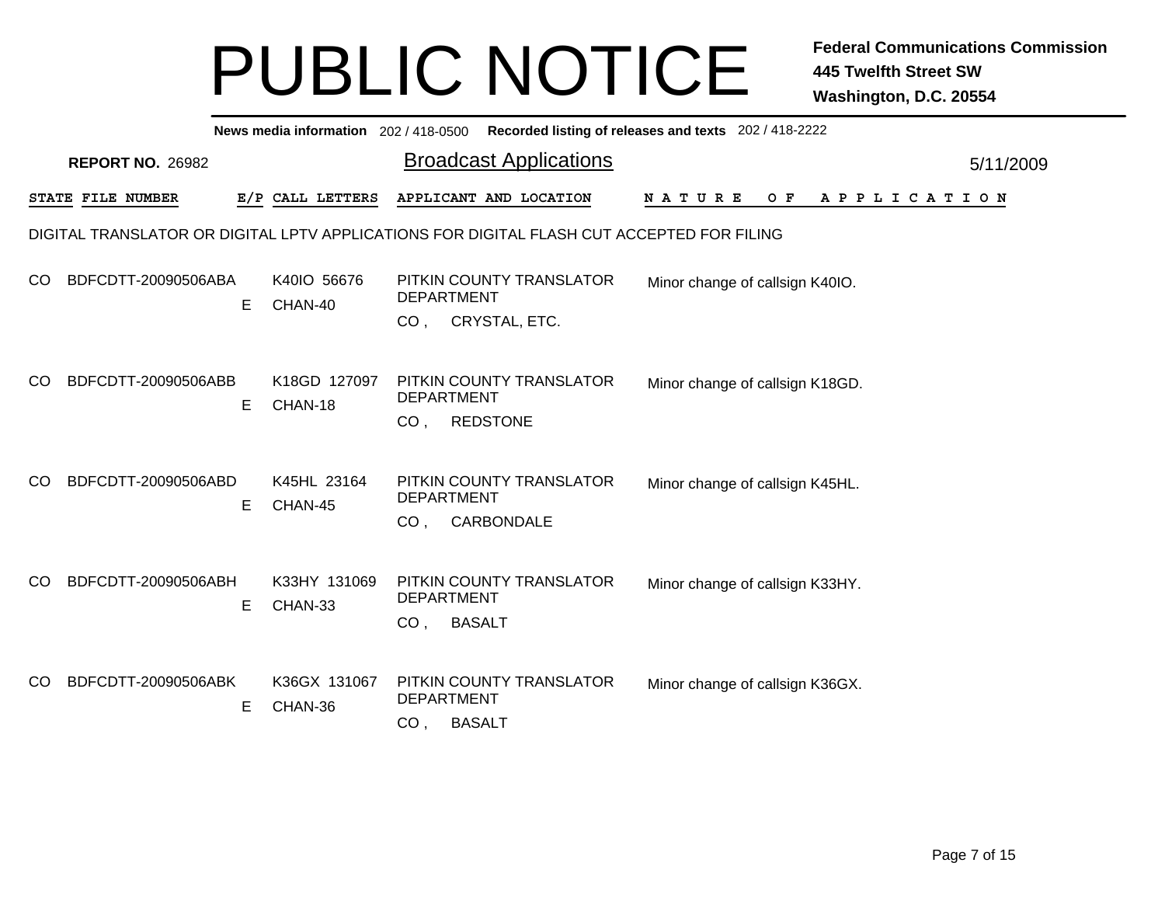|     | News media information 202/418-0500 Recorded listing of releases and texts 202/418-2222 |   |                         |                                                                                                                        |           |  |  |  |  |  |  |  |
|-----|-----------------------------------------------------------------------------------------|---|-------------------------|------------------------------------------------------------------------------------------------------------------------|-----------|--|--|--|--|--|--|--|
|     | <b>REPORT NO. 26982</b>                                                                 |   |                         | <b>Broadcast Applications</b>                                                                                          | 5/11/2009 |  |  |  |  |  |  |  |
|     | STATE FILE NUMBER                                                                       |   | E/P CALL LETTERS        | APPLICANT AND LOCATION<br>O F<br>A P P L I C A T I O N<br><b>NATURE</b>                                                |           |  |  |  |  |  |  |  |
|     |                                                                                         |   |                         | DIGITAL TRANSLATOR OR DIGITAL LPTV APPLICATIONS FOR DIGITAL FLASH CUT ACCEPTED FOR FILING                              |           |  |  |  |  |  |  |  |
| CO. | BDFCDTT-20090506ABA                                                                     | Е | K40IO 56676<br>CHAN-40  | PITKIN COUNTY TRANSLATOR<br>Minor change of callsign K40IO.<br><b>DEPARTMENT</b><br>CRYSTAL, ETC.<br>CO <sub>1</sub>   |           |  |  |  |  |  |  |  |
| CO. | BDFCDTT-20090506ABB                                                                     | Е | K18GD 127097<br>CHAN-18 | PITKIN COUNTY TRANSLATOR<br>Minor change of callsign K18GD.<br><b>DEPARTMENT</b><br><b>REDSTONE</b><br>CO <sub>1</sub> |           |  |  |  |  |  |  |  |
| CO. | BDFCDTT-20090506ABD                                                                     | Е | K45HL 23164<br>CHAN-45  | PITKIN COUNTY TRANSLATOR<br>Minor change of callsign K45HL.<br><b>DEPARTMENT</b><br>CARBONDALE<br>CO <sub>1</sub>      |           |  |  |  |  |  |  |  |
| CO. | BDFCDTT-20090506ABH                                                                     | Е | K33HY 131069<br>CHAN-33 | PITKIN COUNTY TRANSLATOR<br>Minor change of callsign K33HY.<br><b>DEPARTMENT</b><br><b>BASALT</b><br>CO <sub>1</sub>   |           |  |  |  |  |  |  |  |
| CO. | BDFCDTT-20090506ABK                                                                     | Е | K36GX 131067<br>CHAN-36 | PITKIN COUNTY TRANSLATOR<br>Minor change of callsign K36GX.<br><b>DEPARTMENT</b><br><b>BASALT</b><br>CO <sub>1</sub>   |           |  |  |  |  |  |  |  |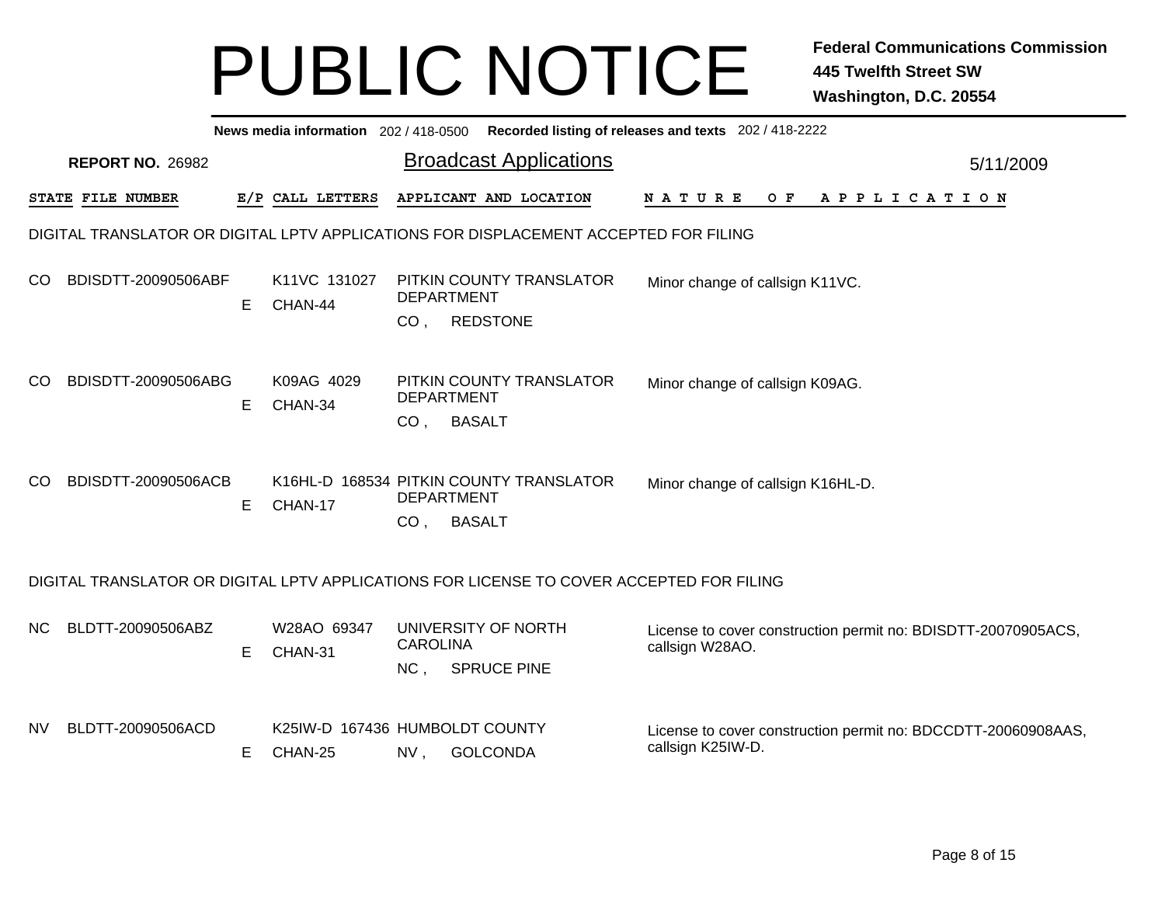|           | News media information 202 / 418-0500 Recorded listing of releases and texts 202 / 418-2222 |    |                                                    |                                      |                    |                               |  |  |                                   |  |         |  |  |  |                       |  |           |                                                               |
|-----------|---------------------------------------------------------------------------------------------|----|----------------------------------------------------|--------------------------------------|--------------------|-------------------------------|--|--|-----------------------------------|--|---------|--|--|--|-----------------------|--|-----------|---------------------------------------------------------------|
|           | <b>REPORT NO. 26982</b>                                                                     |    |                                                    |                                      |                    | <b>Broadcast Applications</b> |  |  |                                   |  |         |  |  |  |                       |  | 5/11/2009 |                                                               |
|           | STATE FILE NUMBER                                                                           |    | E/P CALL LETTERS                                   |                                      |                    | APPLICANT AND LOCATION        |  |  | N A T U R E                       |  | $O$ $F$ |  |  |  | A P P L I C A T I O N |  |           |                                                               |
|           | DIGITAL TRANSLATOR OR DIGITAL LPTV APPLICATIONS FOR DISPLACEMENT ACCEPTED FOR FILING        |    |                                                    |                                      |                    |                               |  |  |                                   |  |         |  |  |  |                       |  |           |                                                               |
| CO        | BDISDTT-20090506ABF                                                                         | E  | K11VC 131027<br>CHAN-44                            | <b>DEPARTMENT</b><br>CO <sub>1</sub> | <b>REDSTONE</b>    | PITKIN COUNTY TRANSLATOR      |  |  | Minor change of callsign K11VC.   |  |         |  |  |  |                       |  |           |                                                               |
| CO        | BDISDTT-20090506ABG                                                                         | E  | K09AG 4029<br>CHAN-34                              | <b>DEPARTMENT</b>                    | CO, BASALT         | PITKIN COUNTY TRANSLATOR      |  |  | Minor change of callsign K09AG.   |  |         |  |  |  |                       |  |           |                                                               |
| CO.       | BDISDTT-20090506ACB                                                                         | Е  | K16HL-D 168534 PITKIN COUNTY TRANSLATOR<br>CHAN-17 | <b>DEPARTMENT</b><br>CO, BASALT      |                    |                               |  |  | Minor change of callsign K16HL-D. |  |         |  |  |  |                       |  |           |                                                               |
|           | DIGITAL TRANSLATOR OR DIGITAL LPTV APPLICATIONS FOR LICENSE TO COVER ACCEPTED FOR FILING    |    |                                                    |                                      |                    |                               |  |  |                                   |  |         |  |  |  |                       |  |           |                                                               |
| NC.       | BLDTT-20090506ABZ                                                                           | E  | W28AO 69347<br>CHAN-31                             | <b>CAROLINA</b><br>NC,               | <b>SPRUCE PINE</b> | UNIVERSITY OF NORTH           |  |  | callsign W28AO.                   |  |         |  |  |  |                       |  |           | License to cover construction permit no: BDISDTT-20070905ACS, |
| <b>NV</b> | BLDTT-20090506ACD                                                                           | E. | K25IW-D 167436 HUMBOLDT COUNTY<br>CHAN-25          | NV,                                  | <b>GOLCONDA</b>    |                               |  |  | callsign K25IW-D.                 |  |         |  |  |  |                       |  |           | License to cover construction permit no: BDCCDTT-20060908AAS, |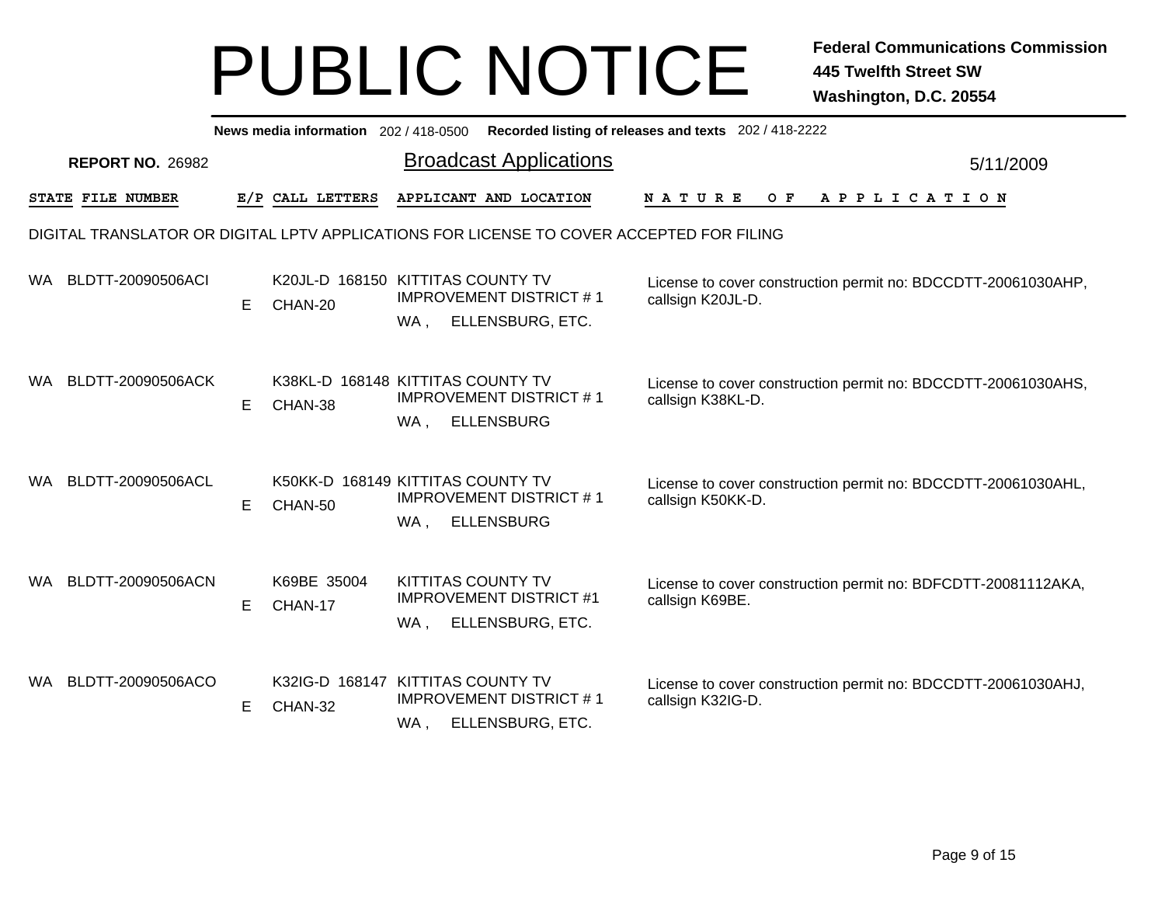|                                                                       | News media information 202/418-0500 Recorded listing of releases and texts 202/418-2222 |    |                        |                                                                                                 |                                                                                    |  |  |  |  |  |  |  |
|-----------------------------------------------------------------------|-----------------------------------------------------------------------------------------|----|------------------------|-------------------------------------------------------------------------------------------------|------------------------------------------------------------------------------------|--|--|--|--|--|--|--|
| <b>Broadcast Applications</b><br><b>REPORT NO. 26982</b><br>5/11/2009 |                                                                                         |    |                        |                                                                                                 |                                                                                    |  |  |  |  |  |  |  |
|                                                                       | STATE FILE NUMBER                                                                       |    | E/P CALL LETTERS       | APPLICANT AND LOCATION                                                                          | O F<br>APPLICATION<br><b>NATURE</b>                                                |  |  |  |  |  |  |  |
|                                                                       |                                                                                         |    |                        | DIGITAL TRANSLATOR OR DIGITAL LPTV APPLICATIONS FOR LICENSE TO COVER ACCEPTED FOR FILING        |                                                                                    |  |  |  |  |  |  |  |
| WA.                                                                   | BLDTT-20090506ACI                                                                       | E. | CHAN-20                | K20JL-D 168150 KITTITAS COUNTY TV<br><b>IMPROVEMENT DISTRICT #1</b><br>ELLENSBURG, ETC.<br>WA,  | License to cover construction permit no: BDCCDTT-20061030AHP,<br>callsign K20JL-D. |  |  |  |  |  |  |  |
| WA.                                                                   | BLDTT-20090506ACK                                                                       | E. | CHAN-38                | K38KL-D 168148 KITTITAS COUNTY TV<br><b>IMPROVEMENT DISTRICT #1</b><br><b>ELLENSBURG</b><br>WA, | License to cover construction permit no: BDCCDTT-20061030AHS,<br>callsign K38KL-D. |  |  |  |  |  |  |  |
| WA.                                                                   | BLDTT-20090506ACL                                                                       | Е  | CHAN-50                | K50KK-D 168149 KITTITAS COUNTY TV<br><b>IMPROVEMENT DISTRICT #1</b><br><b>ELLENSBURG</b><br>WA, | License to cover construction permit no: BDCCDTT-20061030AHL,<br>callsign K50KK-D. |  |  |  |  |  |  |  |
| WA.                                                                   | BLDTT-20090506ACN                                                                       | E. | K69BE 35004<br>CHAN-17 | <b>KITTITAS COUNTY TV</b><br><b>IMPROVEMENT DISTRICT #1</b><br>ELLENSBURG, ETC.<br>WA,          | License to cover construction permit no: BDFCDTT-20081112AKA,<br>callsign K69BE.   |  |  |  |  |  |  |  |
| WA.                                                                   | BLDTT-20090506ACO                                                                       | E  | CHAN-32                | K32IG-D 168147 KITTITAS COUNTY TV<br><b>IMPROVEMENT DISTRICT #1</b><br>ELLENSBURG, ETC.<br>WA . | License to cover construction permit no: BDCCDTT-20061030AHJ,<br>callsign K32IG-D. |  |  |  |  |  |  |  |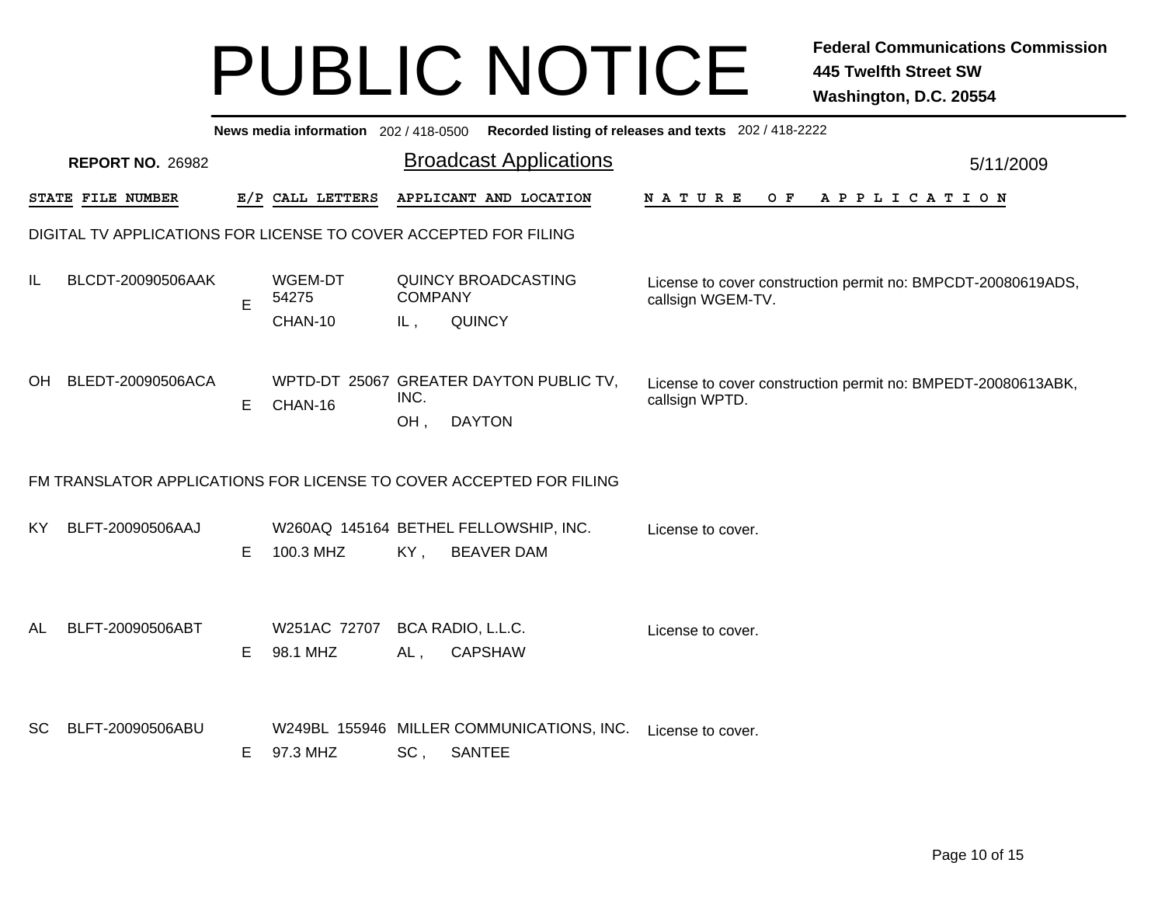|           | News media information 202/418-0500 Recorded listing of releases and texts 202/418-2222 |    |                          |                |                                                                     |                                                                                   |           |  |  |  |  |  |
|-----------|-----------------------------------------------------------------------------------------|----|--------------------------|----------------|---------------------------------------------------------------------|-----------------------------------------------------------------------------------|-----------|--|--|--|--|--|
|           | <b>REPORT NO. 26982</b>                                                                 |    |                          |                | <b>Broadcast Applications</b>                                       |                                                                                   | 5/11/2009 |  |  |  |  |  |
|           | STATE FILE NUMBER                                                                       |    | E/P CALL LETTERS         |                | APPLICANT AND LOCATION                                              | <b>NATURE</b><br>$O$ $F$<br>A P P L I C A T I O N                                 |           |  |  |  |  |  |
|           | DIGITAL TV APPLICATIONS FOR LICENSE TO COVER ACCEPTED FOR FILING                        |    |                          |                |                                                                     |                                                                                   |           |  |  |  |  |  |
| IL        | BLCDT-20090506AAK                                                                       | E  | WGEM-DT<br>54275         | <b>COMPANY</b> | <b>QUINCY BROADCASTING</b>                                          | License to cover construction permit no: BMPCDT-20080619ADS,<br>callsign WGEM-TV. |           |  |  |  |  |  |
|           |                                                                                         |    | CHAN-10                  | IL,            | <b>QUINCY</b>                                                       |                                                                                   |           |  |  |  |  |  |
| OH.       | BLEDT-20090506ACA                                                                       | E  | CHAN-16                  | INC.<br>OH,    | WPTD-DT 25067 GREATER DAYTON PUBLIC TV,<br><b>DAYTON</b>            | License to cover construction permit no: BMPEDT-20080613ABK,<br>callsign WPTD.    |           |  |  |  |  |  |
|           |                                                                                         |    |                          |                | FM TRANSLATOR APPLICATIONS FOR LICENSE TO COVER ACCEPTED FOR FILING |                                                                                   |           |  |  |  |  |  |
| KY.       | BLFT-20090506AAJ                                                                        | E. | 100.3 MHZ                | KY,            | W260AQ 145164 BETHEL FELLOWSHIP, INC.<br><b>BEAVER DAM</b>          | License to cover.                                                                 |           |  |  |  |  |  |
| <b>AL</b> | BLFT-20090506ABT                                                                        | E. | W251AC 72707<br>98.1 MHZ | AL,            | BCA RADIO, L.L.C.<br><b>CAPSHAW</b>                                 | License to cover.                                                                 |           |  |  |  |  |  |
| <b>SC</b> | BLFT-20090506ABU                                                                        | E. | 97.3 MHZ                 | SC,            | W249BL 155946 MILLER COMMUNICATIONS, INC.<br>SANTEE                 | License to cover.                                                                 |           |  |  |  |  |  |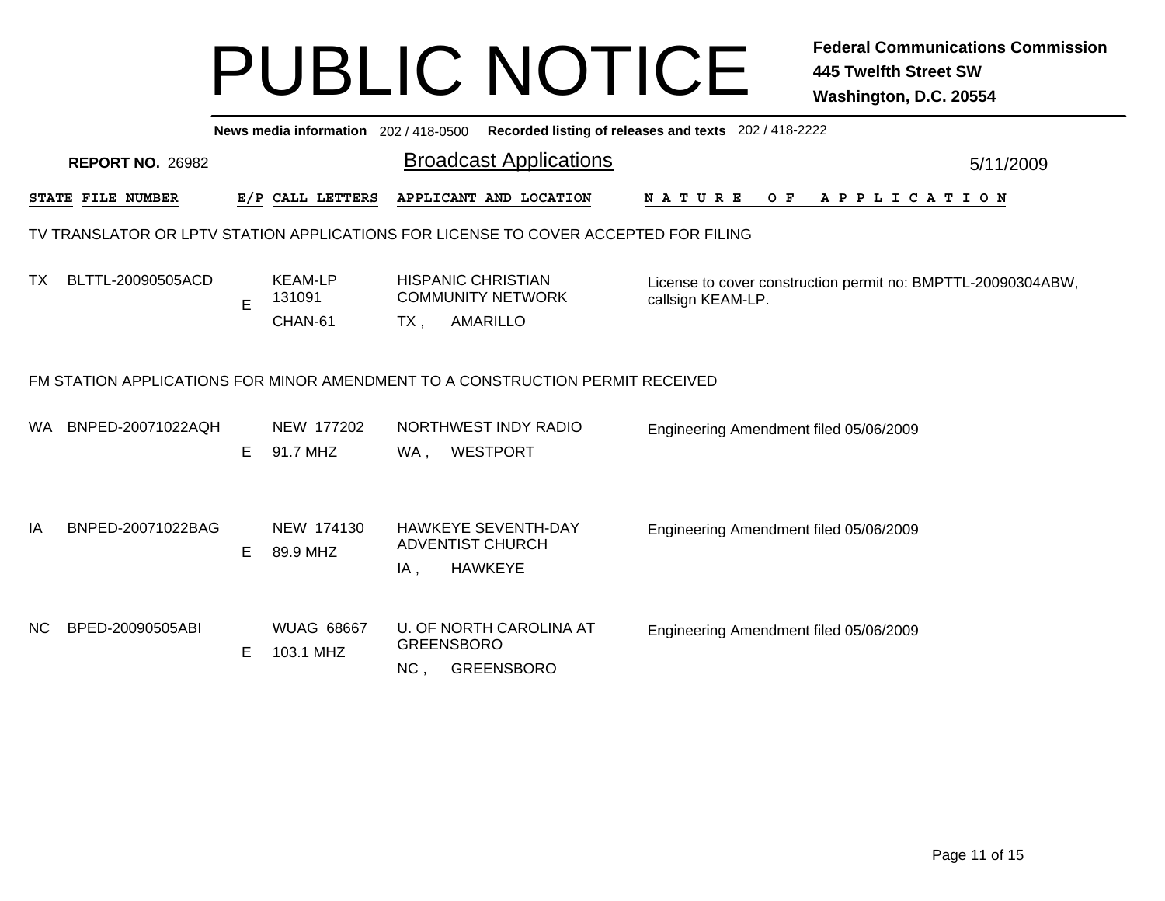|     | Recorded listing of releases and texts 202 / 418-2222<br>News media information 202/418-0500 |    |                                     |                                                                                    |  |                                        |  |  |     |  |  |                       |  |  |                                                              |
|-----|----------------------------------------------------------------------------------------------|----|-------------------------------------|------------------------------------------------------------------------------------|--|----------------------------------------|--|--|-----|--|--|-----------------------|--|--|--------------------------------------------------------------|
|     | <b>REPORT NO. 26982</b>                                                                      |    |                                     | <b>Broadcast Applications</b>                                                      |  |                                        |  |  |     |  |  | 5/11/2009             |  |  |                                                              |
|     | STATE FILE NUMBER                                                                            |    | E/P CALL LETTERS                    | APPLICANT AND LOCATION                                                             |  | <b>NATURE</b>                          |  |  | O F |  |  | A P P L I C A T I O N |  |  |                                                              |
|     | TV TRANSLATOR OR LPTV STATION APPLICATIONS FOR LICENSE TO COVER ACCEPTED FOR FILING          |    |                                     |                                                                                    |  |                                        |  |  |     |  |  |                       |  |  |                                                              |
| TX. | BLTTL-20090505ACD                                                                            | E  | <b>KEAM-LP</b><br>131091<br>CHAN-61 | <b>HISPANIC CHRISTIAN</b><br><b>COMMUNITY NETWORK</b><br><b>AMARILLO</b><br>$TX$ , |  | callsign KEAM-LP.                      |  |  |     |  |  |                       |  |  | License to cover construction permit no: BMPTTL-20090304ABW, |
|     | FM STATION APPLICATIONS FOR MINOR AMENDMENT TO A CONSTRUCTION PERMIT RECEIVED                |    |                                     |                                                                                    |  |                                        |  |  |     |  |  |                       |  |  |                                                              |
| WA  | BNPED-20071022AQH                                                                            | Е  | NEW 177202<br>91.7 MHZ              | NORTHWEST INDY RADIO<br><b>WESTPORT</b><br>WA,                                     |  | Engineering Amendment filed 05/06/2009 |  |  |     |  |  |                       |  |  |                                                              |
| IA  | BNPED-20071022BAG                                                                            | E. | NEW 174130<br>89.9 MHZ              | <b>HAWKEYE SEVENTH-DAY</b><br><b>ADVENTIST CHURCH</b><br><b>HAWKEYE</b><br>IA,     |  | Engineering Amendment filed 05/06/2009 |  |  |     |  |  |                       |  |  |                                                              |
| NC. | BPED-20090505ABI                                                                             | Е  | <b>WUAG 68667</b><br>103.1 MHZ      | U. OF NORTH CAROLINA AT<br><b>GREENSBORO</b><br>NC,<br><b>GREENSBORO</b>           |  | Engineering Amendment filed 05/06/2009 |  |  |     |  |  |                       |  |  |                                                              |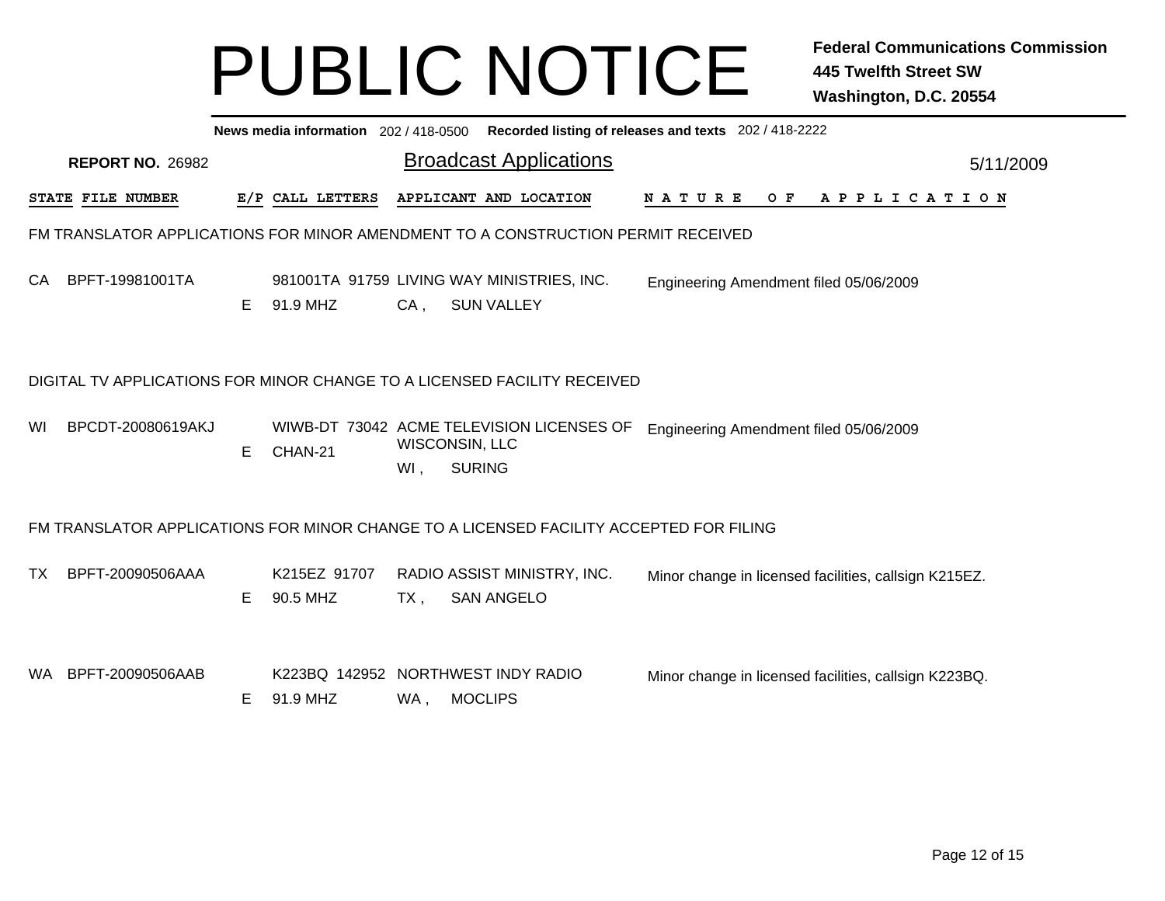|     | News media information 202 / 418-0500 Recorded listing of releases and texts 202 / 418-2222 |   |                          |        |                                                                                        |                                                       |           |  |  |  |  |  |  |
|-----|---------------------------------------------------------------------------------------------|---|--------------------------|--------|----------------------------------------------------------------------------------------|-------------------------------------------------------|-----------|--|--|--|--|--|--|
|     | <b>REPORT NO. 26982</b>                                                                     |   |                          |        | <b>Broadcast Applications</b>                                                          |                                                       | 5/11/2009 |  |  |  |  |  |  |
|     | STATE FILE NUMBER                                                                           |   | E/P CALL LETTERS         |        | APPLICANT AND LOCATION                                                                 | <b>NATURE</b><br>$O$ F<br>A P P L I C A T I O N       |           |  |  |  |  |  |  |
|     |                                                                                             |   |                          |        | FM TRANSLATOR APPLICATIONS FOR MINOR AMENDMENT TO A CONSTRUCTION PERMIT RECEIVED       |                                                       |           |  |  |  |  |  |  |
| CA  | BPFT-19981001TA                                                                             | E | 91.9 MHZ                 | $CA$ , | 981001TA 91759 LIVING WAY MINISTRIES, INC.<br><b>SUN VALLEY</b>                        | Engineering Amendment filed 05/06/2009                |           |  |  |  |  |  |  |
|     |                                                                                             |   |                          |        | DIGITAL TV APPLICATIONS FOR MINOR CHANGE TO A LICENSED FACILITY RECEIVED               |                                                       |           |  |  |  |  |  |  |
| WI  | BPCDT-20080619AKJ                                                                           | Е | CHAN-21                  | WI,    | WIWB-DT 73042 ACME TELEVISION LICENSES OF<br>WISCONSIN, LLC<br><b>SURING</b>           | Engineering Amendment filed 05/06/2009                |           |  |  |  |  |  |  |
|     |                                                                                             |   |                          |        | FM TRANSLATOR APPLICATIONS FOR MINOR CHANGE TO A LICENSED FACILITY ACCEPTED FOR FILING |                                                       |           |  |  |  |  |  |  |
| TX. | BPFT-20090506AAA                                                                            | Е | K215EZ 91707<br>90.5 MHZ | $TX$ , | RADIO ASSIST MINISTRY, INC.<br><b>SAN ANGELO</b>                                       | Minor change in licensed facilities, callsign K215EZ. |           |  |  |  |  |  |  |
| WA. | BPFT-20090506AAB                                                                            | Е | 91.9 MHZ                 | WA,    | K223BQ 142952 NORTHWEST INDY RADIO<br><b>MOCLIPS</b>                                   | Minor change in licensed facilities, callsign K223BQ. |           |  |  |  |  |  |  |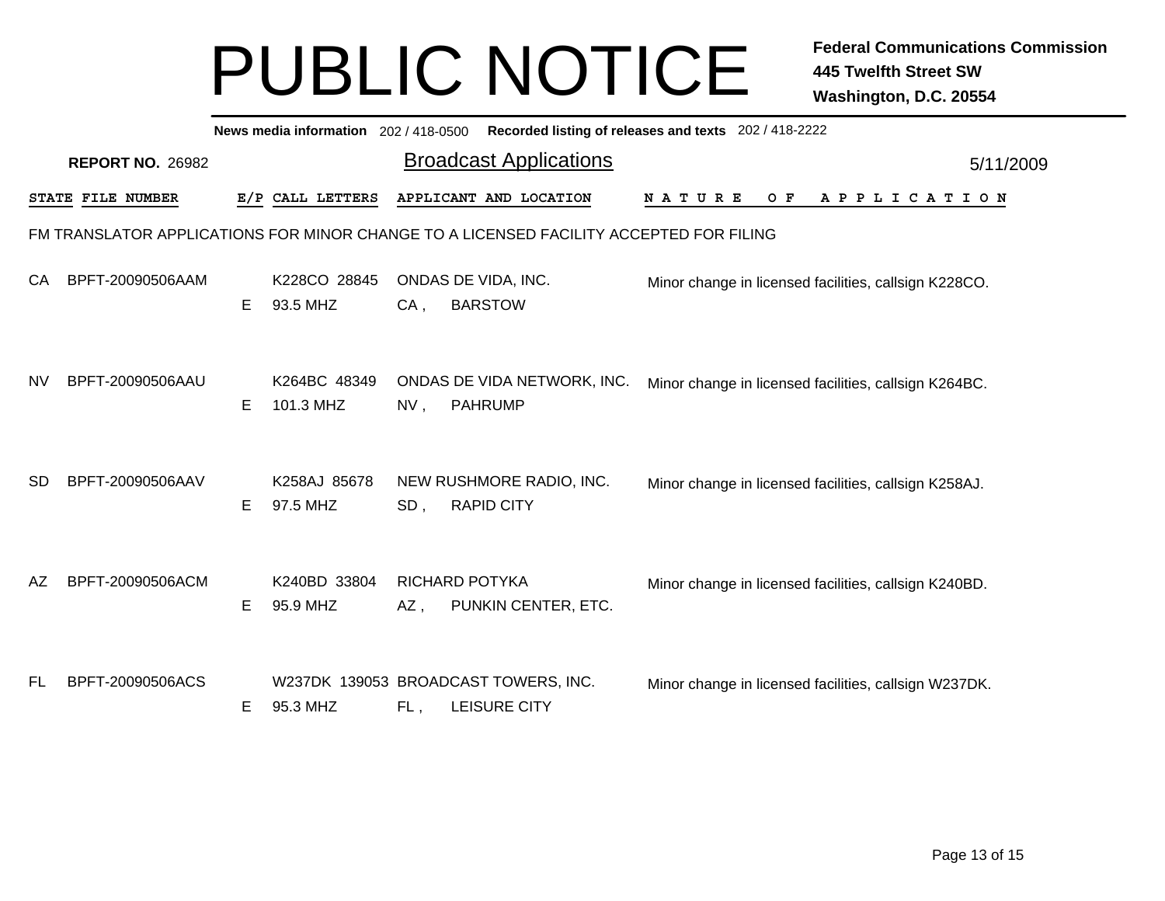|           | News media information 202 / 418-0500<br>Recorded listing of releases and texts 202 / 418-2222 |                         |   |                           |        |                                                      |                                                       |     |  |                       |  |  |  |
|-----------|------------------------------------------------------------------------------------------------|-------------------------|---|---------------------------|--------|------------------------------------------------------|-------------------------------------------------------|-----|--|-----------------------|--|--|--|
|           |                                                                                                | <b>REPORT NO. 26982</b> |   |                           |        | <b>Broadcast Applications</b>                        |                                                       |     |  | 5/11/2009             |  |  |  |
|           |                                                                                                | STATE FILE NUMBER       |   | E/P CALL LETTERS          |        | APPLICANT AND LOCATION                               | <b>NATURE</b>                                         | O F |  | A P P L I C A T I O N |  |  |  |
|           | FM TRANSLATOR APPLICATIONS FOR MINOR CHANGE TO A LICENSED FACILITY ACCEPTED FOR FILING         |                         |   |                           |        |                                                      |                                                       |     |  |                       |  |  |  |
| СA        |                                                                                                | BPFT-20090506AAM        | Е | K228CO 28845<br>93.5 MHZ  | $CA$ , | ONDAS DE VIDA, INC.<br><b>BARSTOW</b>                | Minor change in licensed facilities, callsign K228CO. |     |  |                       |  |  |  |
| <b>NV</b> |                                                                                                | BPFT-20090506AAU        | Е | K264BC 48349<br>101.3 MHZ | NV,    | ONDAS DE VIDA NETWORK, INC.<br><b>PAHRUMP</b>        | Minor change in licensed facilities, callsign K264BC. |     |  |                       |  |  |  |
| <b>SD</b> |                                                                                                | BPFT-20090506AAV        | Е | K258AJ 85678<br>97.5 MHZ  | SD,    | NEW RUSHMORE RADIO, INC.<br><b>RAPID CITY</b>        | Minor change in licensed facilities, callsign K258AJ. |     |  |                       |  |  |  |
| AZ        |                                                                                                | BPFT-20090506ACM        | Е | K240BD 33804<br>95.9 MHZ  | AZ,    | <b>RICHARD POTYKA</b><br>PUNKIN CENTER, ETC.         | Minor change in licensed facilities, callsign K240BD. |     |  |                       |  |  |  |
| FL        |                                                                                                | BPFT-20090506ACS        | Е | 95.3 MHZ                  | FL,    | W237DK 139053 BROADCAST TOWERS, INC.<br>LEISURE CITY | Minor change in licensed facilities, callsign W237DK. |     |  |                       |  |  |  |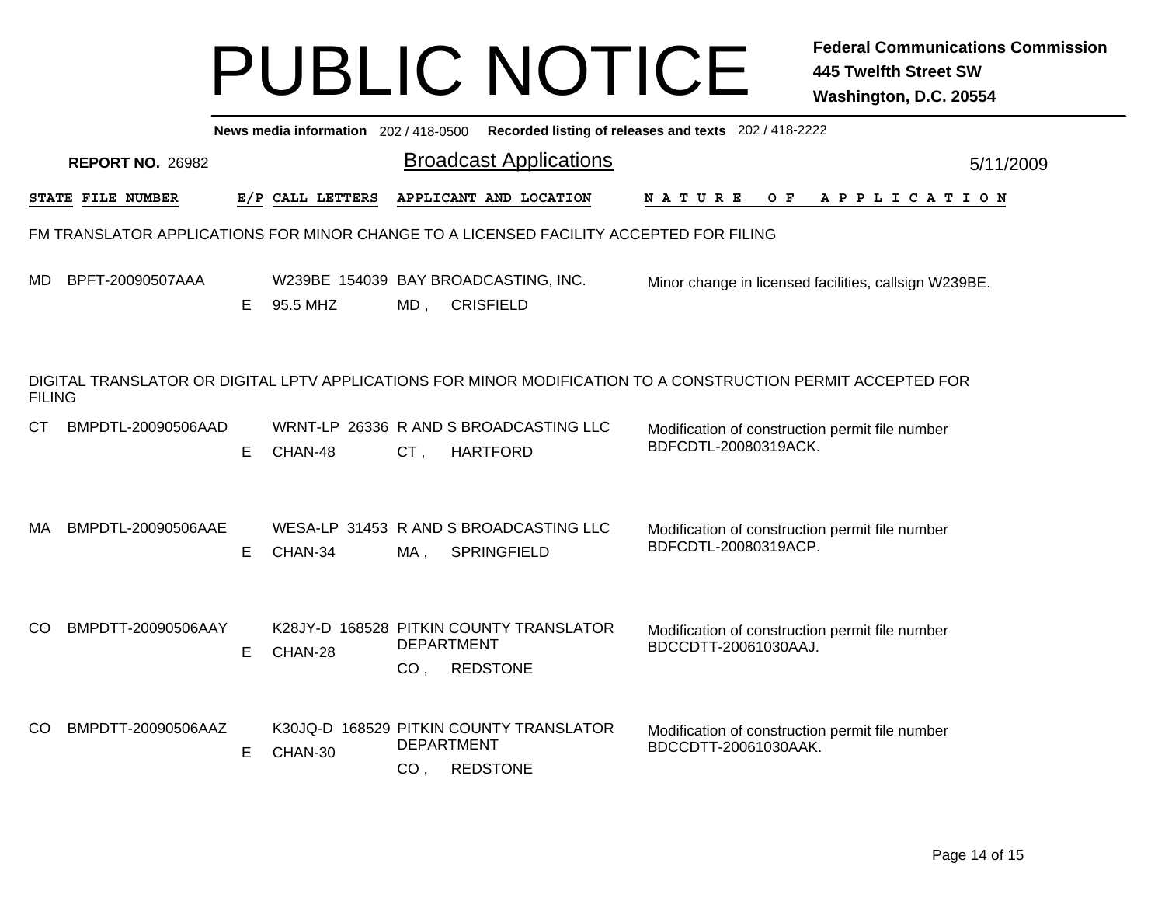|               | News media information 202/418-0500 Recorded listing of releases and texts 202/418-2222 |    |                  |                                      |                                                                                        |                                                                                                              |  |  |  |  |  |  |  |  |
|---------------|-----------------------------------------------------------------------------------------|----|------------------|--------------------------------------|----------------------------------------------------------------------------------------|--------------------------------------------------------------------------------------------------------------|--|--|--|--|--|--|--|--|
|               | <b>REPORT NO. 26982</b>                                                                 |    |                  |                                      | <b>Broadcast Applications</b>                                                          | 5/11/2009                                                                                                    |  |  |  |  |  |  |  |  |
|               | STATE FILE NUMBER                                                                       |    | E/P CALL LETTERS |                                      | APPLICANT AND LOCATION                                                                 | O F<br>N A T U R E<br>A P P L I C A T I O N                                                                  |  |  |  |  |  |  |  |  |
|               |                                                                                         |    |                  |                                      | FM TRANSLATOR APPLICATIONS FOR MINOR CHANGE TO A LICENSED FACILITY ACCEPTED FOR FILING |                                                                                                              |  |  |  |  |  |  |  |  |
| MD.           | BPFT-20090507AAA                                                                        | E. | 95.5 MHZ         | MD,                                  | W239BE 154039 BAY BROADCASTING, INC.<br><b>CRISFIELD</b>                               | Minor change in licensed facilities, callsign W239BE.                                                        |  |  |  |  |  |  |  |  |
| <b>FILING</b> |                                                                                         |    |                  |                                      |                                                                                        | DIGITAL TRANSLATOR OR DIGITAL LPTV APPLICATIONS FOR MINOR MODIFICATION TO A CONSTRUCTION PERMIT ACCEPTED FOR |  |  |  |  |  |  |  |  |
| СT            | BMPDTL-20090506AAD                                                                      | E. | CHAN-48          | CT,                                  | WRNT-LP 26336 R AND S BROADCASTING LLC<br><b>HARTFORD</b>                              | Modification of construction permit file number<br>BDFCDTL-20080319ACK.                                      |  |  |  |  |  |  |  |  |
| MA            | BMPDTL-20090506AAE                                                                      | E. | CHAN-34          | MA,                                  | WESA-LP 31453 R AND S BROADCASTING LLC<br><b>SPRINGFIELD</b>                           | Modification of construction permit file number<br>BDFCDTL-20080319ACP.                                      |  |  |  |  |  |  |  |  |
| CO.           | BMPDTT-20090506AAY                                                                      | Е. | CHAN-28          | <b>DEPARTMENT</b><br>CO <sub>1</sub> | K28JY-D 168528 PITKIN COUNTY TRANSLATOR<br><b>REDSTONE</b>                             | Modification of construction permit file number<br>BDCCDTT-20061030AAJ.                                      |  |  |  |  |  |  |  |  |
| CO.           | BMPDTT-20090506AAZ                                                                      | E. | CHAN-30          | <b>DEPARTMENT</b><br>CO <sub>1</sub> | K30JQ-D 168529 PITKIN COUNTY TRANSLATOR<br><b>REDSTONE</b>                             | Modification of construction permit file number<br>BDCCDTT-20061030AAK.                                      |  |  |  |  |  |  |  |  |